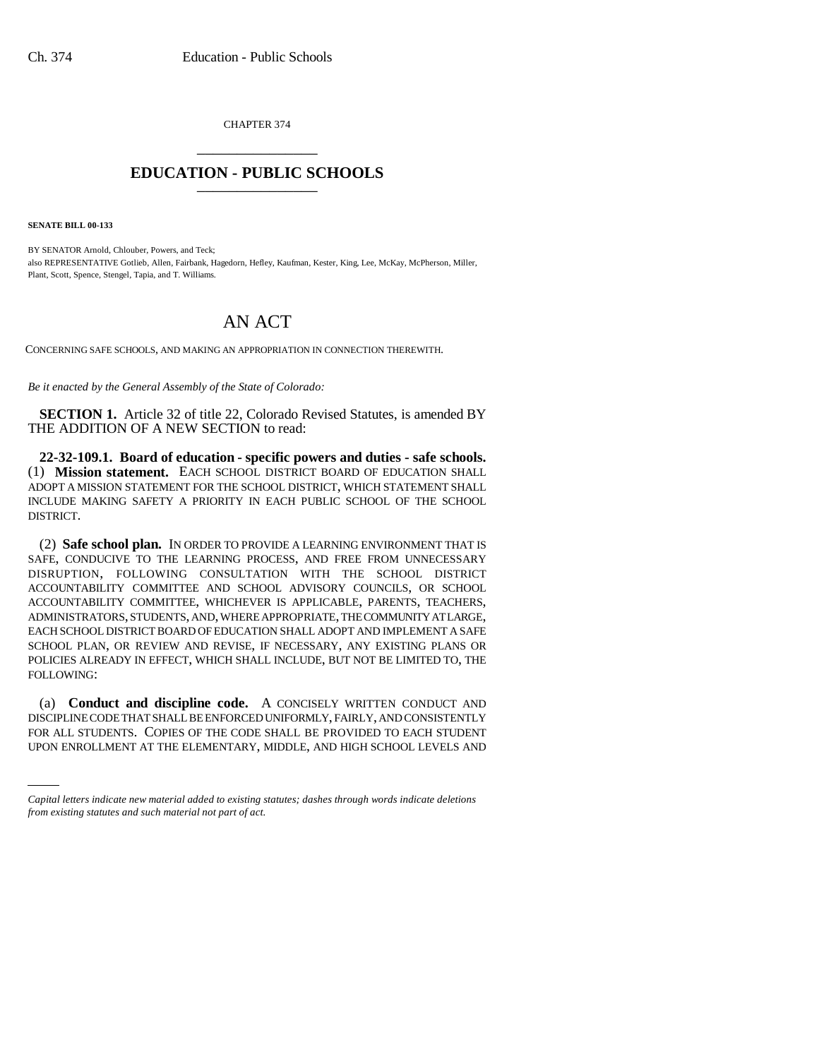CHAPTER 374 \_\_\_\_\_\_\_\_\_\_\_\_\_\_\_

## **EDUCATION - PUBLIC SCHOOLS** \_\_\_\_\_\_\_\_\_\_\_\_\_\_\_

**SENATE BILL 00-133** 

BY SENATOR Arnold, Chlouber, Powers, and Teck; also REPRESENTATIVE Gotlieb, Allen, Fairbank, Hagedorn, Hefley, Kaufman, Kester, King, Lee, McKay, McPherson, Miller, Plant, Scott, Spence, Stengel, Tapia, and T. Williams.

# AN ACT

CONCERNING SAFE SCHOOLS, AND MAKING AN APPROPRIATION IN CONNECTION THEREWITH.

*Be it enacted by the General Assembly of the State of Colorado:*

**SECTION 1.** Article 32 of title 22, Colorado Revised Statutes, is amended BY THE ADDITION OF A NEW SECTION to read:

**22-32-109.1. Board of education - specific powers and duties - safe schools.** (1) **Mission statement.** EACH SCHOOL DISTRICT BOARD OF EDUCATION SHALL ADOPT A MISSION STATEMENT FOR THE SCHOOL DISTRICT, WHICH STATEMENT SHALL INCLUDE MAKING SAFETY A PRIORITY IN EACH PUBLIC SCHOOL OF THE SCHOOL DISTRICT.

(2) **Safe school plan.** IN ORDER TO PROVIDE A LEARNING ENVIRONMENT THAT IS SAFE, CONDUCIVE TO THE LEARNING PROCESS, AND FREE FROM UNNECESSARY DISRUPTION, FOLLOWING CONSULTATION WITH THE SCHOOL DISTRICT ACCOUNTABILITY COMMITTEE AND SCHOOL ADVISORY COUNCILS, OR SCHOOL ACCOUNTABILITY COMMITTEE, WHICHEVER IS APPLICABLE, PARENTS, TEACHERS, ADMINISTRATORS, STUDENTS, AND, WHERE APPROPRIATE, THE COMMUNITY AT LARGE, EACH SCHOOL DISTRICT BOARD OF EDUCATION SHALL ADOPT AND IMPLEMENT A SAFE SCHOOL PLAN, OR REVIEW AND REVISE, IF NECESSARY, ANY EXISTING PLANS OR POLICIES ALREADY IN EFFECT, WHICH SHALL INCLUDE, BUT NOT BE LIMITED TO, THE FOLLOWING:

DISCIPLINE CODE I HAT SHALL BE ENFORCED UNIFORMLY, FAIRLY, AND CONSISTENTLY<br>FOR ALL STUDENTS. COPIES OF THE CODE SHALL BE PROVIDED TO EACH STUDENT (a) **Conduct and discipline code.** A CONCISELY WRITTEN CONDUCT AND DISCIPLINE CODE THAT SHALL BE ENFORCED UNIFORMLY, FAIRLY, AND CONSISTENTLY UPON ENROLLMENT AT THE ELEMENTARY, MIDDLE, AND HIGH SCHOOL LEVELS AND

*Capital letters indicate new material added to existing statutes; dashes through words indicate deletions from existing statutes and such material not part of act.*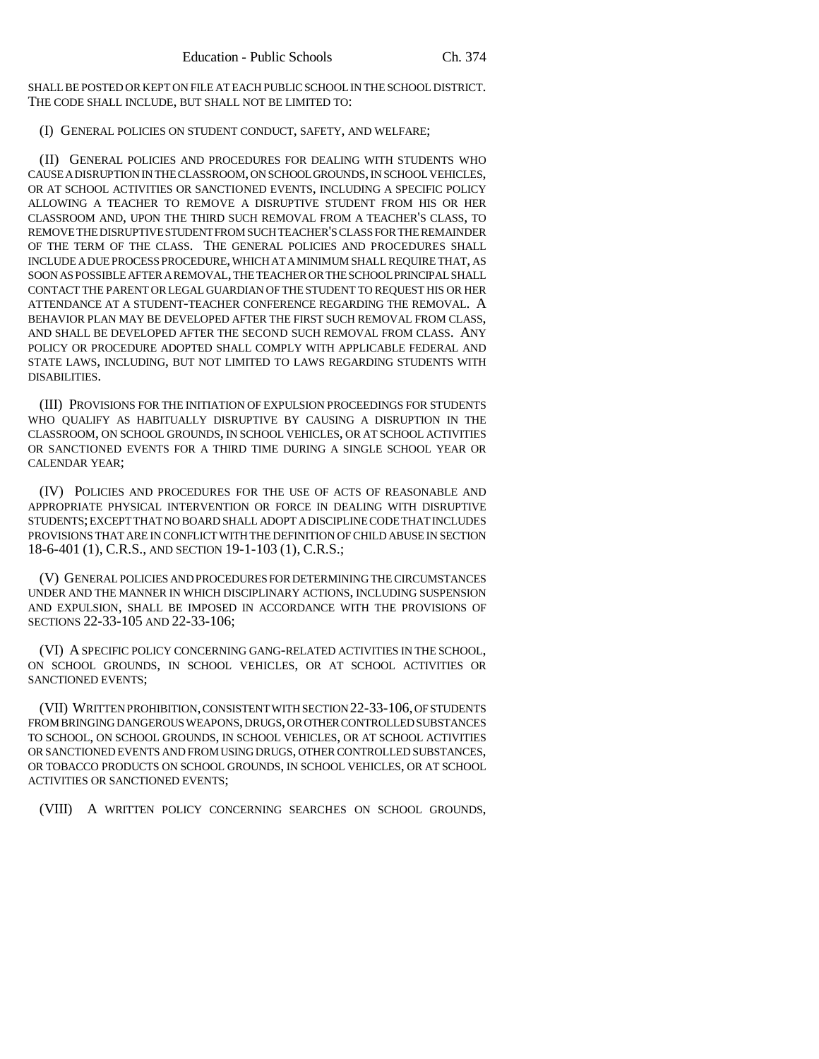SHALL BE POSTED OR KEPT ON FILE AT EACH PUBLIC SCHOOL IN THE SCHOOL DISTRICT. THE CODE SHALL INCLUDE, BUT SHALL NOT BE LIMITED TO:

#### (I) GENERAL POLICIES ON STUDENT CONDUCT, SAFETY, AND WELFARE;

(II) GENERAL POLICIES AND PROCEDURES FOR DEALING WITH STUDENTS WHO CAUSE A DISRUPTION IN THE CLASSROOM, ON SCHOOL GROUNDS, IN SCHOOL VEHICLES, OR AT SCHOOL ACTIVITIES OR SANCTIONED EVENTS, INCLUDING A SPECIFIC POLICY ALLOWING A TEACHER TO REMOVE A DISRUPTIVE STUDENT FROM HIS OR HER CLASSROOM AND, UPON THE THIRD SUCH REMOVAL FROM A TEACHER'S CLASS, TO REMOVE THE DISRUPTIVE STUDENT FROM SUCH TEACHER'S CLASS FOR THE REMAINDER OF THE TERM OF THE CLASS. THE GENERAL POLICIES AND PROCEDURES SHALL INCLUDE A DUE PROCESS PROCEDURE, WHICH AT A MINIMUM SHALL REQUIRE THAT, AS SOON AS POSSIBLE AFTER A REMOVAL, THE TEACHER OR THE SCHOOL PRINCIPAL SHALL CONTACT THE PARENT OR LEGAL GUARDIAN OF THE STUDENT TO REQUEST HIS OR HER ATTENDANCE AT A STUDENT-TEACHER CONFERENCE REGARDING THE REMOVAL. A BEHAVIOR PLAN MAY BE DEVELOPED AFTER THE FIRST SUCH REMOVAL FROM CLASS, AND SHALL BE DEVELOPED AFTER THE SECOND SUCH REMOVAL FROM CLASS. ANY POLICY OR PROCEDURE ADOPTED SHALL COMPLY WITH APPLICABLE FEDERAL AND STATE LAWS, INCLUDING, BUT NOT LIMITED TO LAWS REGARDING STUDENTS WITH DISABILITIES.

(III) PROVISIONS FOR THE INITIATION OF EXPULSION PROCEEDINGS FOR STUDENTS WHO QUALIFY AS HABITUALLY DISRUPTIVE BY CAUSING A DISRUPTION IN THE CLASSROOM, ON SCHOOL GROUNDS, IN SCHOOL VEHICLES, OR AT SCHOOL ACTIVITIES OR SANCTIONED EVENTS FOR A THIRD TIME DURING A SINGLE SCHOOL YEAR OR CALENDAR YEAR;

(IV) POLICIES AND PROCEDURES FOR THE USE OF ACTS OF REASONABLE AND APPROPRIATE PHYSICAL INTERVENTION OR FORCE IN DEALING WITH DISRUPTIVE STUDENTS; EXCEPT THAT NO BOARD SHALL ADOPT A DISCIPLINE CODE THAT INCLUDES PROVISIONS THAT ARE IN CONFLICT WITH THE DEFINITION OF CHILD ABUSE IN SECTION 18-6-401 (1), C.R.S., AND SECTION 19-1-103 (1), C.R.S.;

(V) GENERAL POLICIES AND PROCEDURES FOR DETERMINING THE CIRCUMSTANCES UNDER AND THE MANNER IN WHICH DISCIPLINARY ACTIONS, INCLUDING SUSPENSION AND EXPULSION, SHALL BE IMPOSED IN ACCORDANCE WITH THE PROVISIONS OF SECTIONS 22-33-105 AND 22-33-106;

(VI) A SPECIFIC POLICY CONCERNING GANG-RELATED ACTIVITIES IN THE SCHOOL, ON SCHOOL GROUNDS, IN SCHOOL VEHICLES, OR AT SCHOOL ACTIVITIES OR SANCTIONED EVENTS;

(VII) WRITTEN PROHIBITION, CONSISTENT WITH SECTION 22-33-106, OF STUDENTS FROM BRINGING DANGEROUS WEAPONS, DRUGS, OR OTHER CONTROLLED SUBSTANCES TO SCHOOL, ON SCHOOL GROUNDS, IN SCHOOL VEHICLES, OR AT SCHOOL ACTIVITIES OR SANCTIONED EVENTS AND FROM USING DRUGS, OTHER CONTROLLED SUBSTANCES, OR TOBACCO PRODUCTS ON SCHOOL GROUNDS, IN SCHOOL VEHICLES, OR AT SCHOOL ACTIVITIES OR SANCTIONED EVENTS;

(VIII) A WRITTEN POLICY CONCERNING SEARCHES ON SCHOOL GROUNDS,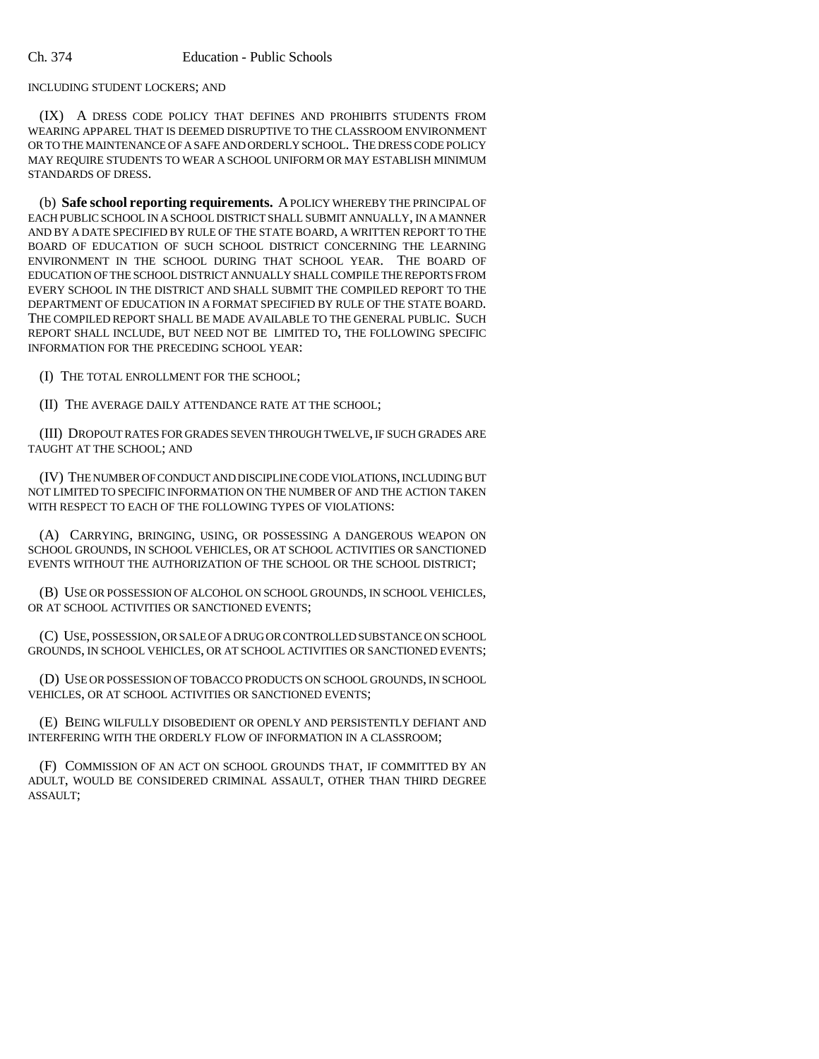INCLUDING STUDENT LOCKERS; AND

(IX) A DRESS CODE POLICY THAT DEFINES AND PROHIBITS STUDENTS FROM WEARING APPAREL THAT IS DEEMED DISRUPTIVE TO THE CLASSROOM ENVIRONMENT OR TO THE MAINTENANCE OF A SAFE AND ORDERLY SCHOOL. THE DRESS CODE POLICY MAY REQUIRE STUDENTS TO WEAR A SCHOOL UNIFORM OR MAY ESTABLISH MINIMUM STANDARDS OF DRESS.

(b) **Safe school reporting requirements.** A POLICY WHEREBY THE PRINCIPAL OF EACH PUBLIC SCHOOL IN A SCHOOL DISTRICT SHALL SUBMIT ANNUALLY, IN A MANNER AND BY A DATE SPECIFIED BY RULE OF THE STATE BOARD, A WRITTEN REPORT TO THE BOARD OF EDUCATION OF SUCH SCHOOL DISTRICT CONCERNING THE LEARNING ENVIRONMENT IN THE SCHOOL DURING THAT SCHOOL YEAR. THE BOARD OF EDUCATION OF THE SCHOOL DISTRICT ANNUALLY SHALL COMPILE THE REPORTS FROM EVERY SCHOOL IN THE DISTRICT AND SHALL SUBMIT THE COMPILED REPORT TO THE DEPARTMENT OF EDUCATION IN A FORMAT SPECIFIED BY RULE OF THE STATE BOARD. THE COMPILED REPORT SHALL BE MADE AVAILABLE TO THE GENERAL PUBLIC. SUCH REPORT SHALL INCLUDE, BUT NEED NOT BE LIMITED TO, THE FOLLOWING SPECIFIC INFORMATION FOR THE PRECEDING SCHOOL YEAR:

(I) THE TOTAL ENROLLMENT FOR THE SCHOOL;

(II) THE AVERAGE DAILY ATTENDANCE RATE AT THE SCHOOL;

(III) DROPOUT RATES FOR GRADES SEVEN THROUGH TWELVE, IF SUCH GRADES ARE TAUGHT AT THE SCHOOL; AND

(IV) THE NUMBER OF CONDUCT AND DISCIPLINE CODE VIOLATIONS, INCLUDING BUT NOT LIMITED TO SPECIFIC INFORMATION ON THE NUMBER OF AND THE ACTION TAKEN WITH RESPECT TO EACH OF THE FOLLOWING TYPES OF VIOLATIONS:

(A) CARRYING, BRINGING, USING, OR POSSESSING A DANGEROUS WEAPON ON SCHOOL GROUNDS, IN SCHOOL VEHICLES, OR AT SCHOOL ACTIVITIES OR SANCTIONED EVENTS WITHOUT THE AUTHORIZATION OF THE SCHOOL OR THE SCHOOL DISTRICT;

(B) USE OR POSSESSION OF ALCOHOL ON SCHOOL GROUNDS, IN SCHOOL VEHICLES, OR AT SCHOOL ACTIVITIES OR SANCTIONED EVENTS;

(C) USE, POSSESSION, OR SALE OF A DRUG OR CONTROLLED SUBSTANCE ON SCHOOL GROUNDS, IN SCHOOL VEHICLES, OR AT SCHOOL ACTIVITIES OR SANCTIONED EVENTS;

(D) USE OR POSSESSION OF TOBACCO PRODUCTS ON SCHOOL GROUNDS, IN SCHOOL VEHICLES, OR AT SCHOOL ACTIVITIES OR SANCTIONED EVENTS;

(E) BEING WILFULLY DISOBEDIENT OR OPENLY AND PERSISTENTLY DEFIANT AND INTERFERING WITH THE ORDERLY FLOW OF INFORMATION IN A CLASSROOM;

(F) COMMISSION OF AN ACT ON SCHOOL GROUNDS THAT, IF COMMITTED BY AN ADULT, WOULD BE CONSIDERED CRIMINAL ASSAULT, OTHER THAN THIRD DEGREE ASSAULT;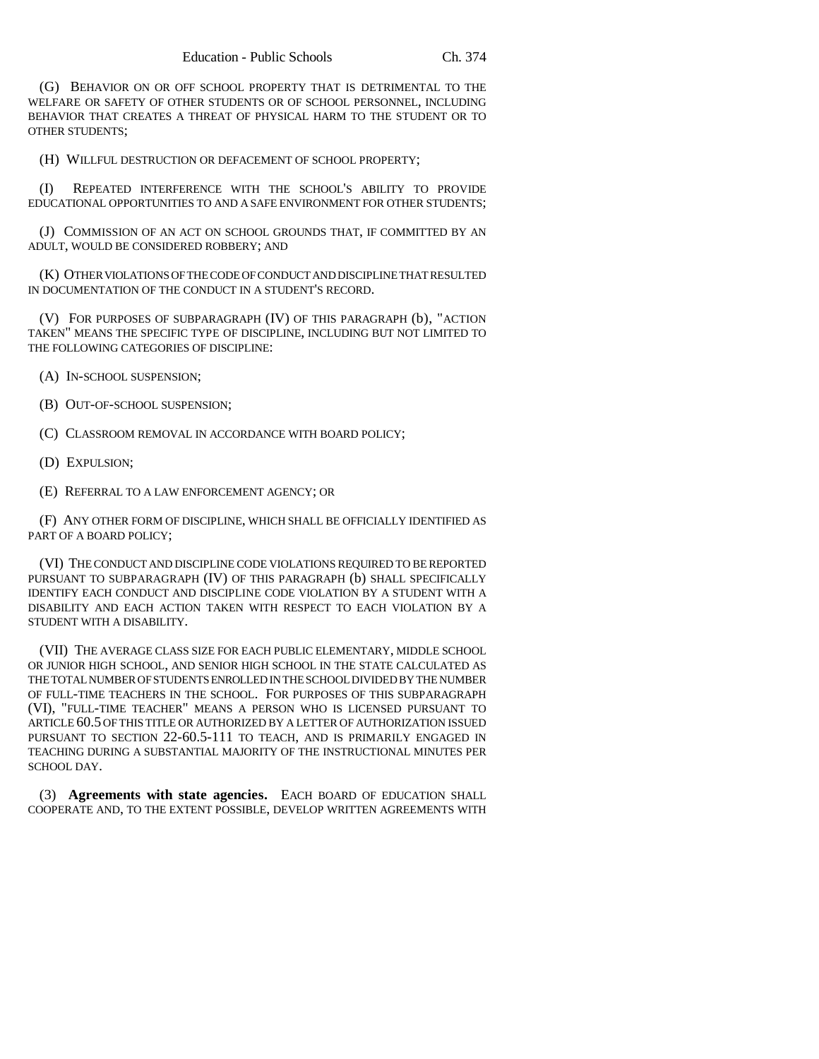(G) BEHAVIOR ON OR OFF SCHOOL PROPERTY THAT IS DETRIMENTAL TO THE WELFARE OR SAFETY OF OTHER STUDENTS OR OF SCHOOL PERSONNEL, INCLUDING BEHAVIOR THAT CREATES A THREAT OF PHYSICAL HARM TO THE STUDENT OR TO OTHER STUDENTS;

(H) WILLFUL DESTRUCTION OR DEFACEMENT OF SCHOOL PROPERTY;

(I) REPEATED INTERFERENCE WITH THE SCHOOL'S ABILITY TO PROVIDE EDUCATIONAL OPPORTUNITIES TO AND A SAFE ENVIRONMENT FOR OTHER STUDENTS;

(J) COMMISSION OF AN ACT ON SCHOOL GROUNDS THAT, IF COMMITTED BY AN ADULT, WOULD BE CONSIDERED ROBBERY; AND

(K) OTHER VIOLATIONS OF THE CODE OF CONDUCT AND DISCIPLINE THAT RESULTED IN DOCUMENTATION OF THE CONDUCT IN A STUDENT'S RECORD.

(V) FOR PURPOSES OF SUBPARAGRAPH (IV) OF THIS PARAGRAPH (b), "ACTION TAKEN" MEANS THE SPECIFIC TYPE OF DISCIPLINE, INCLUDING BUT NOT LIMITED TO THE FOLLOWING CATEGORIES OF DISCIPLINE:

(A) IN-SCHOOL SUSPENSION;

(B) OUT-OF-SCHOOL SUSPENSION;

(C) CLASSROOM REMOVAL IN ACCORDANCE WITH BOARD POLICY;

(D) EXPULSION;

(E) REFERRAL TO A LAW ENFORCEMENT AGENCY; OR

(F) ANY OTHER FORM OF DISCIPLINE, WHICH SHALL BE OFFICIALLY IDENTIFIED AS PART OF A BOARD POLICY;

(VI) THE CONDUCT AND DISCIPLINE CODE VIOLATIONS REQUIRED TO BE REPORTED PURSUANT TO SUBPARAGRAPH (IV) OF THIS PARAGRAPH (b) SHALL SPECIFICALLY IDENTIFY EACH CONDUCT AND DISCIPLINE CODE VIOLATION BY A STUDENT WITH A DISABILITY AND EACH ACTION TAKEN WITH RESPECT TO EACH VIOLATION BY A STUDENT WITH A DISABILITY.

(VII) THE AVERAGE CLASS SIZE FOR EACH PUBLIC ELEMENTARY, MIDDLE SCHOOL OR JUNIOR HIGH SCHOOL, AND SENIOR HIGH SCHOOL IN THE STATE CALCULATED AS THE TOTAL NUMBER OF STUDENTS ENROLLED IN THE SCHOOL DIVIDED BY THE NUMBER OF FULL-TIME TEACHERS IN THE SCHOOL. FOR PURPOSES OF THIS SUBPARAGRAPH (VI), "FULL-TIME TEACHER" MEANS A PERSON WHO IS LICENSED PURSUANT TO ARTICLE 60.5 OF THIS TITLE OR AUTHORIZED BY A LETTER OF AUTHORIZATION ISSUED PURSUANT TO SECTION 22-60.5-111 TO TEACH, AND IS PRIMARILY ENGAGED IN TEACHING DURING A SUBSTANTIAL MAJORITY OF THE INSTRUCTIONAL MINUTES PER SCHOOL DAY.

(3) **Agreements with state agencies.** EACH BOARD OF EDUCATION SHALL COOPERATE AND, TO THE EXTENT POSSIBLE, DEVELOP WRITTEN AGREEMENTS WITH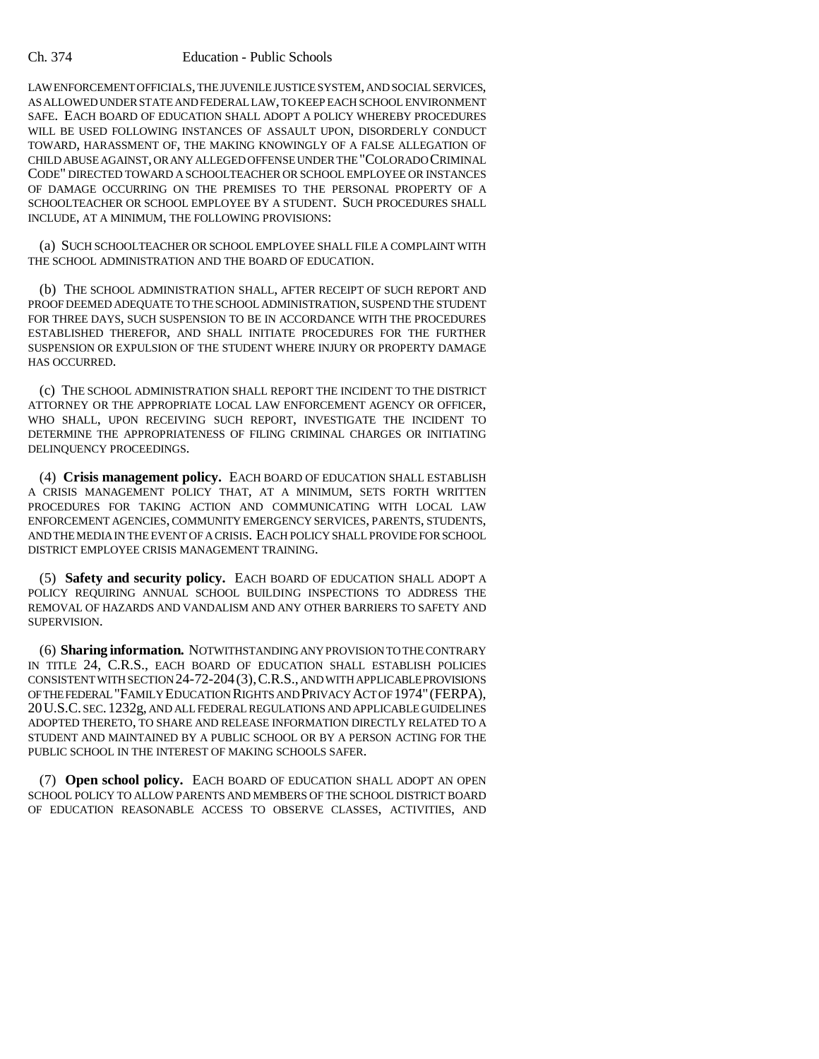#### Ch. 374 Education - Public Schools

LAW ENFORCEMENT OFFICIALS, THE JUVENILE JUSTICE SYSTEM, AND SOCIAL SERVICES, AS ALLOWED UNDER STATE AND FEDERAL LAW, TO KEEP EACH SCHOOL ENVIRONMENT SAFE. EACH BOARD OF EDUCATION SHALL ADOPT A POLICY WHEREBY PROCEDURES WILL BE USED FOLLOWING INSTANCES OF ASSAULT UPON, DISORDERLY CONDUCT TOWARD, HARASSMENT OF, THE MAKING KNOWINGLY OF A FALSE ALLEGATION OF CHILD ABUSE AGAINST, OR ANY ALLEGED OFFENSE UNDER THE "COLORADO CRIMINAL CODE" DIRECTED TOWARD A SCHOOLTEACHER OR SCHOOL EMPLOYEE OR INSTANCES OF DAMAGE OCCURRING ON THE PREMISES TO THE PERSONAL PROPERTY OF A SCHOOLTEACHER OR SCHOOL EMPLOYEE BY A STUDENT. SUCH PROCEDURES SHALL INCLUDE, AT A MINIMUM, THE FOLLOWING PROVISIONS:

(a) SUCH SCHOOLTEACHER OR SCHOOL EMPLOYEE SHALL FILE A COMPLAINT WITH THE SCHOOL ADMINISTRATION AND THE BOARD OF EDUCATION.

(b) THE SCHOOL ADMINISTRATION SHALL, AFTER RECEIPT OF SUCH REPORT AND PROOF DEEMED ADEQUATE TO THE SCHOOL ADMINISTRATION, SUSPEND THE STUDENT FOR THREE DAYS, SUCH SUSPENSION TO BE IN ACCORDANCE WITH THE PROCEDURES ESTABLISHED THEREFOR, AND SHALL INITIATE PROCEDURES FOR THE FURTHER SUSPENSION OR EXPULSION OF THE STUDENT WHERE INJURY OR PROPERTY DAMAGE HAS OCCURRED.

(c) THE SCHOOL ADMINISTRATION SHALL REPORT THE INCIDENT TO THE DISTRICT ATTORNEY OR THE APPROPRIATE LOCAL LAW ENFORCEMENT AGENCY OR OFFICER, WHO SHALL, UPON RECEIVING SUCH REPORT, INVESTIGATE THE INCIDENT TO DETERMINE THE APPROPRIATENESS OF FILING CRIMINAL CHARGES OR INITIATING DELINQUENCY PROCEEDINGS.

(4) **Crisis management policy.** EACH BOARD OF EDUCATION SHALL ESTABLISH A CRISIS MANAGEMENT POLICY THAT, AT A MINIMUM, SETS FORTH WRITTEN PROCEDURES FOR TAKING ACTION AND COMMUNICATING WITH LOCAL LAW ENFORCEMENT AGENCIES, COMMUNITY EMERGENCY SERVICES, PARENTS, STUDENTS, AND THE MEDIA IN THE EVENT OF A CRISIS. EACH POLICY SHALL PROVIDE FOR SCHOOL DISTRICT EMPLOYEE CRISIS MANAGEMENT TRAINING.

(5) **Safety and security policy.** EACH BOARD OF EDUCATION SHALL ADOPT A POLICY REQUIRING ANNUAL SCHOOL BUILDING INSPECTIONS TO ADDRESS THE REMOVAL OF HAZARDS AND VANDALISM AND ANY OTHER BARRIERS TO SAFETY AND SUPERVISION.

(6) **Sharing information.** NOTWITHSTANDING ANY PROVISION TO THE CONTRARY IN TITLE 24, C.R.S., EACH BOARD OF EDUCATION SHALL ESTABLISH POLICIES CONSISTENT WITH SECTION 24-72-204(3),C.R.S., AND WITH APPLICABLE PROVISIONS OF THE FEDERAL "FAMILY EDUCATION RIGHTS AND PRIVACY ACT OF 1974" (FERPA), 20U.S.C. SEC.1232g, AND ALL FEDERAL REGULATIONS AND APPLICABLE GUIDELINES ADOPTED THERETO, TO SHARE AND RELEASE INFORMATION DIRECTLY RELATED TO A STUDENT AND MAINTAINED BY A PUBLIC SCHOOL OR BY A PERSON ACTING FOR THE PUBLIC SCHOOL IN THE INTEREST OF MAKING SCHOOLS SAFER.

(7) **Open school policy.** EACH BOARD OF EDUCATION SHALL ADOPT AN OPEN SCHOOL POLICY TO ALLOW PARENTS AND MEMBERS OF THE SCHOOL DISTRICT BOARD OF EDUCATION REASONABLE ACCESS TO OBSERVE CLASSES, ACTIVITIES, AND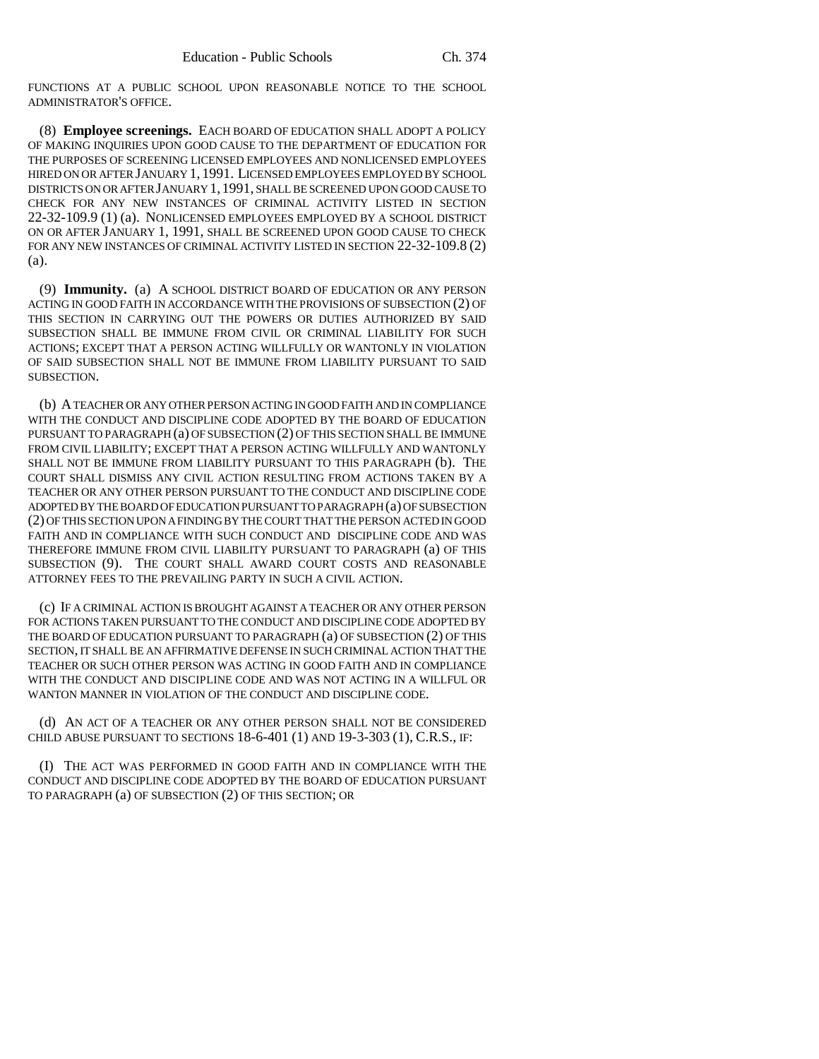FUNCTIONS AT A PUBLIC SCHOOL UPON REASONABLE NOTICE TO THE SCHOOL ADMINISTRATOR'S OFFICE.

(8) **Employee screenings.** EACH BOARD OF EDUCATION SHALL ADOPT A POLICY OF MAKING INQUIRIES UPON GOOD CAUSE TO THE DEPARTMENT OF EDUCATION FOR THE PURPOSES OF SCREENING LICENSED EMPLOYEES AND NONLICENSED EMPLOYEES HIRED ON OR AFTER JANUARY 1, 1991. LICENSED EMPLOYEES EMPLOYED BY SCHOOL DISTRICTS ON OR AFTER JANUARY 1,1991, SHALL BE SCREENED UPON GOOD CAUSE TO CHECK FOR ANY NEW INSTANCES OF CRIMINAL ACTIVITY LISTED IN SECTION 22-32-109.9 (1) (a). NONLICENSED EMPLOYEES EMPLOYED BY A SCHOOL DISTRICT ON OR AFTER JANUARY 1, 1991, SHALL BE SCREENED UPON GOOD CAUSE TO CHECK FOR ANY NEW INSTANCES OF CRIMINAL ACTIVITY LISTED IN SECTION 22-32-109.8 (2) (a).

(9) **Immunity.** (a) A SCHOOL DISTRICT BOARD OF EDUCATION OR ANY PERSON ACTING IN GOOD FAITH IN ACCORDANCE WITH THE PROVISIONS OF SUBSECTION (2) OF THIS SECTION IN CARRYING OUT THE POWERS OR DUTIES AUTHORIZED BY SAID SUBSECTION SHALL BE IMMUNE FROM CIVIL OR CRIMINAL LIABILITY FOR SUCH ACTIONS; EXCEPT THAT A PERSON ACTING WILLFULLY OR WANTONLY IN VIOLATION OF SAID SUBSECTION SHALL NOT BE IMMUNE FROM LIABILITY PURSUANT TO SAID SUBSECTION.

(b) A TEACHER OR ANY OTHER PERSON ACTING IN GOOD FAITH AND IN COMPLIANCE WITH THE CONDUCT AND DISCIPLINE CODE ADOPTED BY THE BOARD OF EDUCATION PURSUANT TO PARAGRAPH (a) OF SUBSECTION (2) OF THIS SECTION SHALL BE IMMUNE FROM CIVIL LIABILITY; EXCEPT THAT A PERSON ACTING WILLFULLY AND WANTONLY SHALL NOT BE IMMUNE FROM LIABILITY PURSUANT TO THIS PARAGRAPH (b). THE COURT SHALL DISMISS ANY CIVIL ACTION RESULTING FROM ACTIONS TAKEN BY A TEACHER OR ANY OTHER PERSON PURSUANT TO THE CONDUCT AND DISCIPLINE CODE ADOPTED BY THE BOARD OF EDUCATION PURSUANT TO PARAGRAPH (a) OF SUBSECTION (2) OF THIS SECTION UPON A FINDING BY THE COURT THAT THE PERSON ACTED IN GOOD FAITH AND IN COMPLIANCE WITH SUCH CONDUCT AND DISCIPLINE CODE AND WAS THEREFORE IMMUNE FROM CIVIL LIABILITY PURSUANT TO PARAGRAPH (a) OF THIS SUBSECTION (9). THE COURT SHALL AWARD COURT COSTS AND REASONABLE ATTORNEY FEES TO THE PREVAILING PARTY IN SUCH A CIVIL ACTION.

(c) IF A CRIMINAL ACTION IS BROUGHT AGAINST A TEACHER OR ANY OTHER PERSON FOR ACTIONS TAKEN PURSUANT TO THE CONDUCT AND DISCIPLINE CODE ADOPTED BY THE BOARD OF EDUCATION PURSUANT TO PARAGRAPH (a) OF SUBSECTION (2) OF THIS SECTION, IT SHALL BE AN AFFIRMATIVE DEFENSE IN SUCH CRIMINAL ACTION THAT THE TEACHER OR SUCH OTHER PERSON WAS ACTING IN GOOD FAITH AND IN COMPLIANCE WITH THE CONDUCT AND DISCIPLINE CODE AND WAS NOT ACTING IN A WILLFUL OR WANTON MANNER IN VIOLATION OF THE CONDUCT AND DISCIPLINE CODE.

(d) AN ACT OF A TEACHER OR ANY OTHER PERSON SHALL NOT BE CONSIDERED CHILD ABUSE PURSUANT TO SECTIONS  $18-6-401$  (1) AND  $19-3-303$  (1), C.R.S., IF:

(I) THE ACT WAS PERFORMED IN GOOD FAITH AND IN COMPLIANCE WITH THE CONDUCT AND DISCIPLINE CODE ADOPTED BY THE BOARD OF EDUCATION PURSUANT TO PARAGRAPH (a) OF SUBSECTION (2) OF THIS SECTION; OR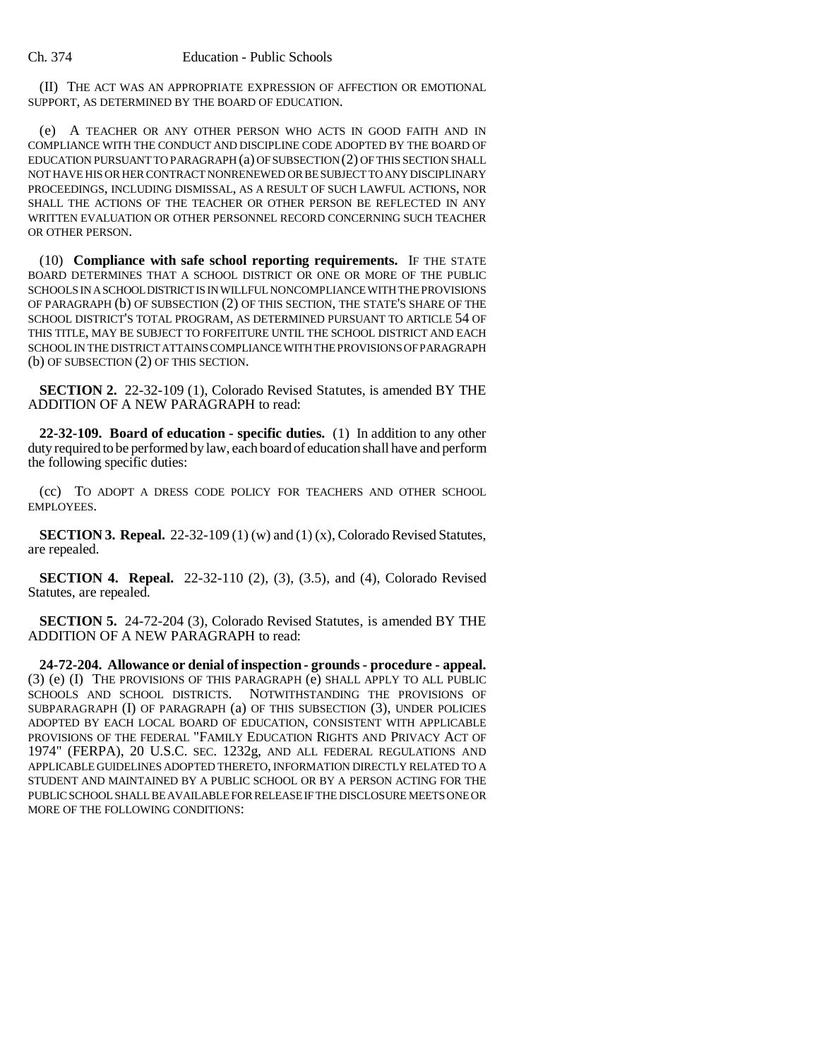(II) THE ACT WAS AN APPROPRIATE EXPRESSION OF AFFECTION OR EMOTIONAL SUPPORT, AS DETERMINED BY THE BOARD OF EDUCATION.

(e) A TEACHER OR ANY OTHER PERSON WHO ACTS IN GOOD FAITH AND IN COMPLIANCE WITH THE CONDUCT AND DISCIPLINE CODE ADOPTED BY THE BOARD OF EDUCATION PURSUANT TO PARAGRAPH (a) OF SUBSECTION (2) OF THIS SECTION SHALL NOT HAVE HIS OR HER CONTRACT NONRENEWED OR BE SUBJECT TO ANY DISCIPLINARY PROCEEDINGS, INCLUDING DISMISSAL, AS A RESULT OF SUCH LAWFUL ACTIONS, NOR SHALL THE ACTIONS OF THE TEACHER OR OTHER PERSON BE REFLECTED IN ANY WRITTEN EVALUATION OR OTHER PERSONNEL RECORD CONCERNING SUCH TEACHER OR OTHER PERSON.

(10) **Compliance with safe school reporting requirements.** IF THE STATE BOARD DETERMINES THAT A SCHOOL DISTRICT OR ONE OR MORE OF THE PUBLIC SCHOOLS IN A SCHOOL DISTRICT IS IN WILLFUL NONCOMPLIANCE WITH THE PROVISIONS OF PARAGRAPH (b) OF SUBSECTION (2) OF THIS SECTION, THE STATE'S SHARE OF THE SCHOOL DISTRICT'S TOTAL PROGRAM, AS DETERMINED PURSUANT TO ARTICLE 54 OF THIS TITLE, MAY BE SUBJECT TO FORFEITURE UNTIL THE SCHOOL DISTRICT AND EACH SCHOOL IN THE DISTRICT ATTAINS COMPLIANCE WITH THE PROVISIONS OF PARAGRAPH (b) OF SUBSECTION (2) OF THIS SECTION.

**SECTION 2.** 22-32-109 (1), Colorado Revised Statutes, is amended BY THE ADDITION OF A NEW PARAGRAPH to read:

**22-32-109. Board of education - specific duties.** (1) In addition to any other duty required to be performed by law, each board of education shall have and perform the following specific duties:

(cc) TO ADOPT A DRESS CODE POLICY FOR TEACHERS AND OTHER SCHOOL EMPLOYEES.

**SECTION 3. Repeal.** 22-32-109 (1) (w) and (1) (x), Colorado Revised Statutes, are repealed.

**SECTION 4. Repeal.** 22-32-110 (2), (3), (3.5), and (4), Colorado Revised Statutes, are repealed.

**SECTION 5.** 24-72-204 (3), Colorado Revised Statutes, is amended BY THE ADDITION OF A NEW PARAGRAPH to read:

**24-72-204. Allowance or denial of inspection - grounds - procedure - appeal.** (3) (e) (I) THE PROVISIONS OF THIS PARAGRAPH (e) SHALL APPLY TO ALL PUBLIC SCHOOLS AND SCHOOL DISTRICTS. NOTWITHSTANDING THE PROVISIONS OF SUBPARAGRAPH (I) OF PARAGRAPH (a) OF THIS SUBSECTION (3), UNDER POLICIES ADOPTED BY EACH LOCAL BOARD OF EDUCATION, CONSISTENT WITH APPLICABLE PROVISIONS OF THE FEDERAL "FAMILY EDUCATION RIGHTS AND PRIVACY ACT OF 1974" (FERPA), 20 U.S.C. SEC. 1232g, AND ALL FEDERAL REGULATIONS AND APPLICABLE GUIDELINES ADOPTED THERETO, INFORMATION DIRECTLY RELATED TO A STUDENT AND MAINTAINED BY A PUBLIC SCHOOL OR BY A PERSON ACTING FOR THE PUBLIC SCHOOL SHALL BE AVAILABLE FOR RELEASE IF THE DISCLOSURE MEETS ONE OR MORE OF THE FOLLOWING CONDITIONS: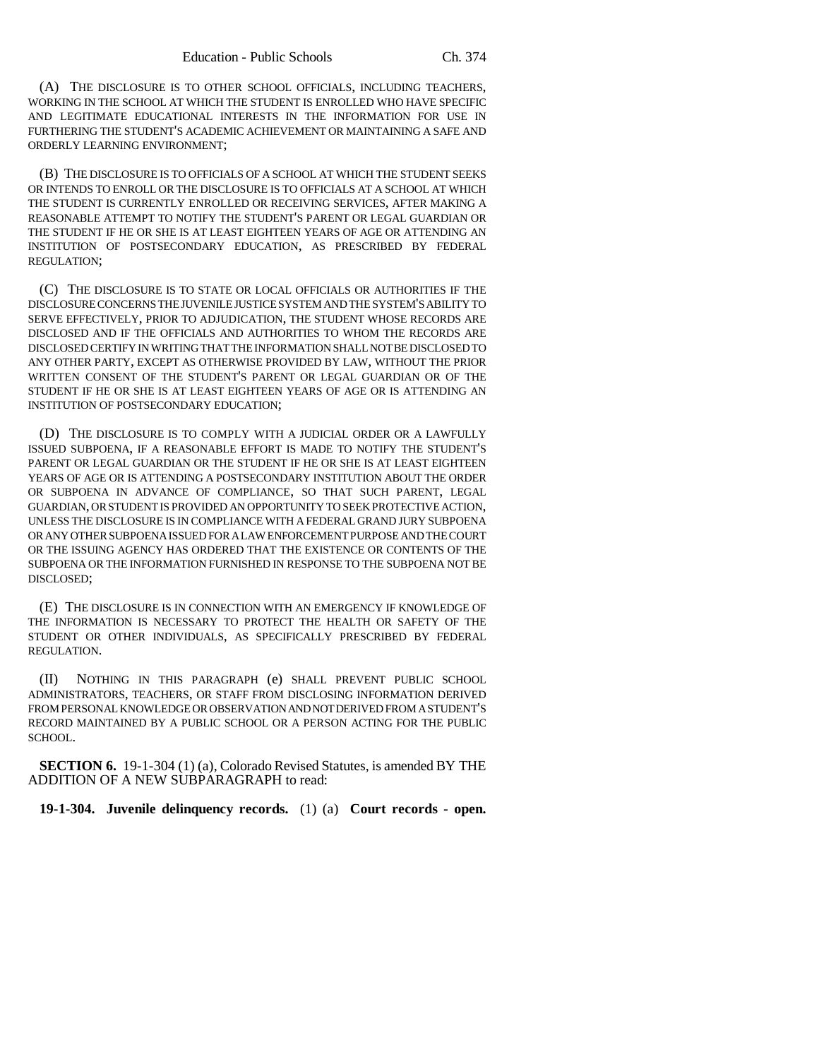(A) THE DISCLOSURE IS TO OTHER SCHOOL OFFICIALS, INCLUDING TEACHERS, WORKING IN THE SCHOOL AT WHICH THE STUDENT IS ENROLLED WHO HAVE SPECIFIC AND LEGITIMATE EDUCATIONAL INTERESTS IN THE INFORMATION FOR USE IN FURTHERING THE STUDENT'S ACADEMIC ACHIEVEMENT OR MAINTAINING A SAFE AND ORDERLY LEARNING ENVIRONMENT;

(B) THE DISCLOSURE IS TO OFFICIALS OF A SCHOOL AT WHICH THE STUDENT SEEKS OR INTENDS TO ENROLL OR THE DISCLOSURE IS TO OFFICIALS AT A SCHOOL AT WHICH THE STUDENT IS CURRENTLY ENROLLED OR RECEIVING SERVICES, AFTER MAKING A REASONABLE ATTEMPT TO NOTIFY THE STUDENT'S PARENT OR LEGAL GUARDIAN OR THE STUDENT IF HE OR SHE IS AT LEAST EIGHTEEN YEARS OF AGE OR ATTENDING AN INSTITUTION OF POSTSECONDARY EDUCATION, AS PRESCRIBED BY FEDERAL REGULATION;

(C) THE DISCLOSURE IS TO STATE OR LOCAL OFFICIALS OR AUTHORITIES IF THE DISCLOSURE CONCERNS THE JUVENILE JUSTICE SYSTEM AND THE SYSTEM'S ABILITY TO SERVE EFFECTIVELY, PRIOR TO ADJUDICATION, THE STUDENT WHOSE RECORDS ARE DISCLOSED AND IF THE OFFICIALS AND AUTHORITIES TO WHOM THE RECORDS ARE DISCLOSED CERTIFY IN WRITING THAT THE INFORMATION SHALL NOT BE DISCLOSED TO ANY OTHER PARTY, EXCEPT AS OTHERWISE PROVIDED BY LAW, WITHOUT THE PRIOR WRITTEN CONSENT OF THE STUDENT'S PARENT OR LEGAL GUARDIAN OR OF THE STUDENT IF HE OR SHE IS AT LEAST EIGHTEEN YEARS OF AGE OR IS ATTENDING AN INSTITUTION OF POSTSECONDARY EDUCATION;

(D) THE DISCLOSURE IS TO COMPLY WITH A JUDICIAL ORDER OR A LAWFULLY ISSUED SUBPOENA, IF A REASONABLE EFFORT IS MADE TO NOTIFY THE STUDENT'S PARENT OR LEGAL GUARDIAN OR THE STUDENT IF HE OR SHE IS AT LEAST EIGHTEEN YEARS OF AGE OR IS ATTENDING A POSTSECONDARY INSTITUTION ABOUT THE ORDER OR SUBPOENA IN ADVANCE OF COMPLIANCE, SO THAT SUCH PARENT, LEGAL GUARDIAN, OR STUDENT IS PROVIDED AN OPPORTUNITY TO SEEK PROTECTIVE ACTION, UNLESS THE DISCLOSURE IS IN COMPLIANCE WITH A FEDERAL GRAND JURY SUBPOENA OR ANY OTHER SUBPOENA ISSUED FOR A LAW ENFORCEMENT PURPOSE AND THE COURT OR THE ISSUING AGENCY HAS ORDERED THAT THE EXISTENCE OR CONTENTS OF THE SUBPOENA OR THE INFORMATION FURNISHED IN RESPONSE TO THE SUBPOENA NOT BE DISCLOSED;

(E) THE DISCLOSURE IS IN CONNECTION WITH AN EMERGENCY IF KNOWLEDGE OF THE INFORMATION IS NECESSARY TO PROTECT THE HEALTH OR SAFETY OF THE STUDENT OR OTHER INDIVIDUALS, AS SPECIFICALLY PRESCRIBED BY FEDERAL REGULATION.

(II) NOTHING IN THIS PARAGRAPH (e) SHALL PREVENT PUBLIC SCHOOL ADMINISTRATORS, TEACHERS, OR STAFF FROM DISCLOSING INFORMATION DERIVED FROM PERSONAL KNOWLEDGE OR OBSERVATION AND NOT DERIVED FROM A STUDENT'S RECORD MAINTAINED BY A PUBLIC SCHOOL OR A PERSON ACTING FOR THE PUBLIC SCHOOL.

**SECTION 6.** 19-1-304 (1) (a), Colorado Revised Statutes, is amended BY THE ADDITION OF A NEW SUBPARAGRAPH to read:

**19-1-304. Juvenile delinquency records.** (1) (a) **Court records - open.**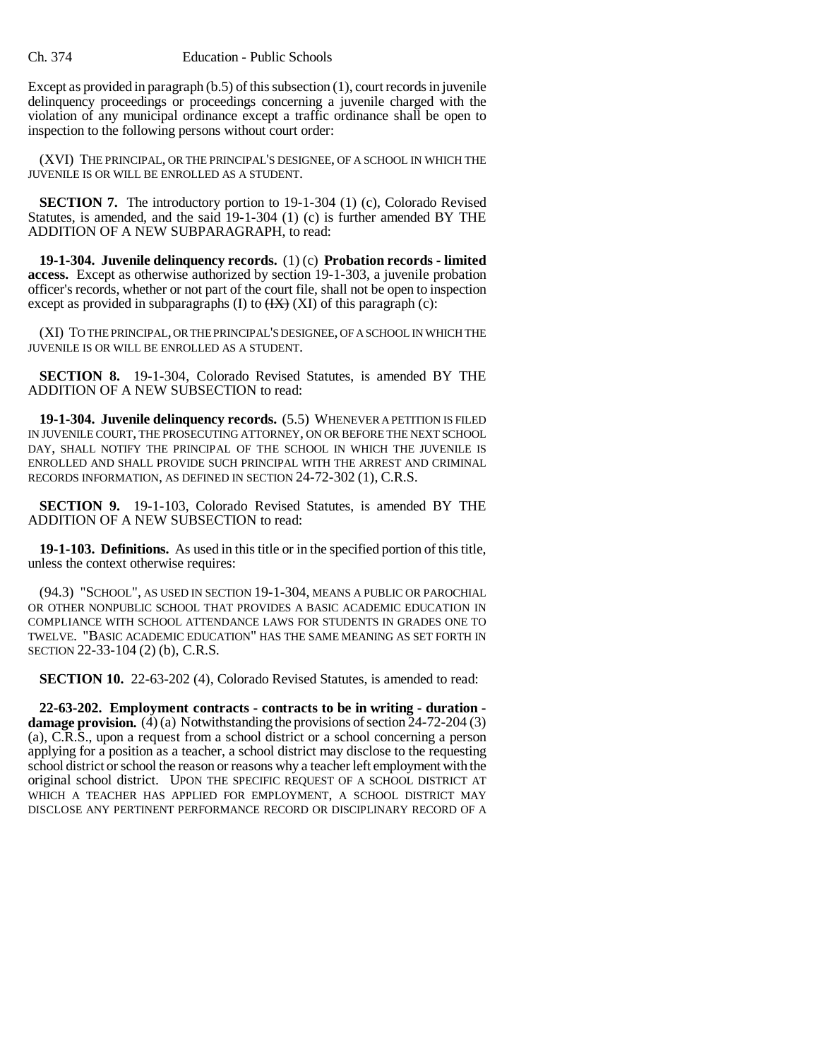Except as provided in paragraph (b.5) of this subsection (1), court records in juvenile delinquency proceedings or proceedings concerning a juvenile charged with the violation of any municipal ordinance except a traffic ordinance shall be open to inspection to the following persons without court order:

(XVI) THE PRINCIPAL, OR THE PRINCIPAL'S DESIGNEE, OF A SCHOOL IN WHICH THE JUVENILE IS OR WILL BE ENROLLED AS A STUDENT.

**SECTION 7.** The introductory portion to 19-1-304 (1) (c), Colorado Revised Statutes, is amended, and the said 19-1-304 (1) (c) is further amended BY THE ADDITION OF A NEW SUBPARAGRAPH, to read:

**19-1-304. Juvenile delinquency records.** (1) (c) **Probation records - limited access.** Except as otherwise authorized by section 19-1-303, a juvenile probation officer's records, whether or not part of the court file, shall not be open to inspection except as provided in subparagraphs (I) to  $(HX)$  (XI) of this paragraph (c):

(XI) TO THE PRINCIPAL, OR THE PRINCIPAL'S DESIGNEE, OF A SCHOOL IN WHICH THE JUVENILE IS OR WILL BE ENROLLED AS A STUDENT.

**SECTION 8.** 19-1-304, Colorado Revised Statutes, is amended BY THE ADDITION OF A NEW SUBSECTION to read:

**19-1-304. Juvenile delinquency records.** (5.5) WHENEVER A PETITION IS FILED IN JUVENILE COURT, THE PROSECUTING ATTORNEY, ON OR BEFORE THE NEXT SCHOOL DAY, SHALL NOTIFY THE PRINCIPAL OF THE SCHOOL IN WHICH THE JUVENILE IS ENROLLED AND SHALL PROVIDE SUCH PRINCIPAL WITH THE ARREST AND CRIMINAL RECORDS INFORMATION, AS DEFINED IN SECTION 24-72-302 (1), C.R.S.

**SECTION 9.** 19-1-103, Colorado Revised Statutes, is amended BY THE ADDITION OF A NEW SUBSECTION to read:

**19-1-103. Definitions.** As used in this title or in the specified portion of this title, unless the context otherwise requires:

(94.3) "SCHOOL", AS USED IN SECTION 19-1-304, MEANS A PUBLIC OR PAROCHIAL OR OTHER NONPUBLIC SCHOOL THAT PROVIDES A BASIC ACADEMIC EDUCATION IN COMPLIANCE WITH SCHOOL ATTENDANCE LAWS FOR STUDENTS IN GRADES ONE TO TWELVE. "BASIC ACADEMIC EDUCATION" HAS THE SAME MEANING AS SET FORTH IN SECTION 22-33-104 (2) (b), C.R.S.

**SECTION 10.** 22-63-202 (4), Colorado Revised Statutes, is amended to read:

**22-63-202. Employment contracts - contracts to be in writing - duration damage provision.** (4) (a) Notwithstanding the provisions of section 24-72-204 (3) (a), C.R.S., upon a request from a school district or a school concerning a person applying for a position as a teacher, a school district may disclose to the requesting school district or school the reason or reasons why a teacher left employment with the original school district. UPON THE SPECIFIC REQUEST OF A SCHOOL DISTRICT AT WHICH A TEACHER HAS APPLIED FOR EMPLOYMENT, A SCHOOL DISTRICT MAY DISCLOSE ANY PERTINENT PERFORMANCE RECORD OR DISCIPLINARY RECORD OF A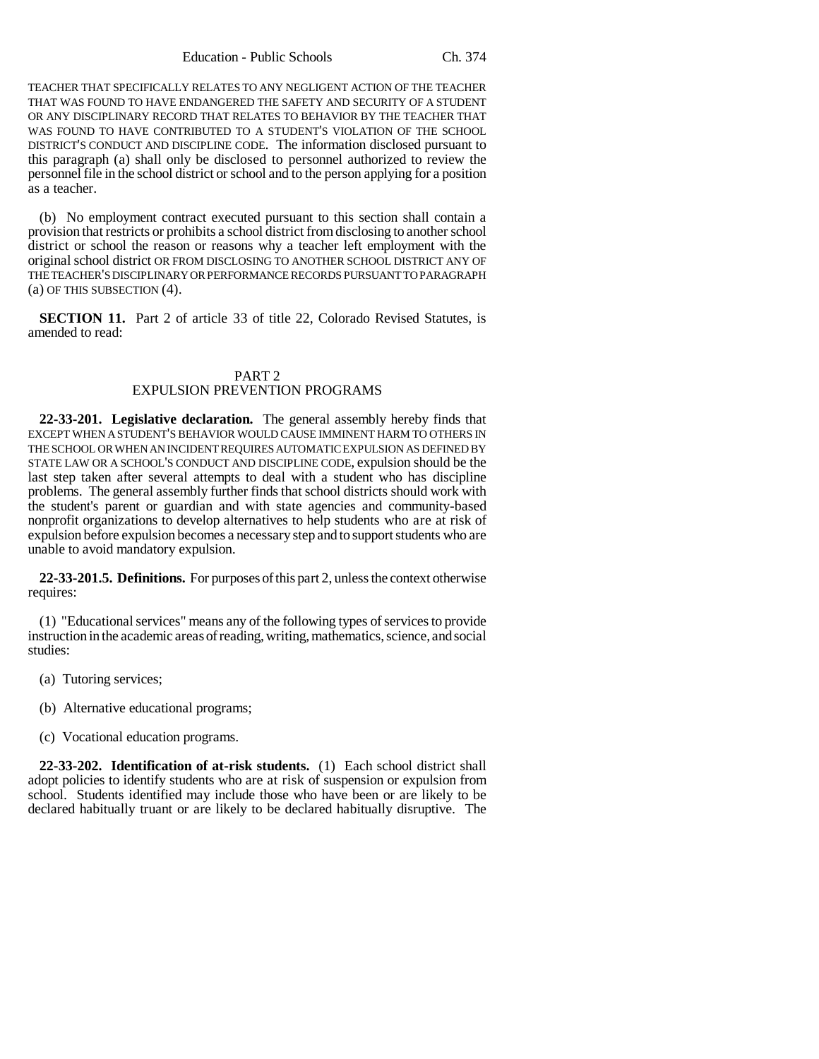Education - Public Schools Ch. 374

TEACHER THAT SPECIFICALLY RELATES TO ANY NEGLIGENT ACTION OF THE TEACHER THAT WAS FOUND TO HAVE ENDANGERED THE SAFETY AND SECURITY OF A STUDENT OR ANY DISCIPLINARY RECORD THAT RELATES TO BEHAVIOR BY THE TEACHER THAT WAS FOUND TO HAVE CONTRIBUTED TO A STUDENT'S VIOLATION OF THE SCHOOL DISTRICT'S CONDUCT AND DISCIPLINE CODE. The information disclosed pursuant to this paragraph (a) shall only be disclosed to personnel authorized to review the personnel file in the school district or school and to the person applying for a position as a teacher.

(b) No employment contract executed pursuant to this section shall contain a provision that restricts or prohibits a school district from disclosing to another school district or school the reason or reasons why a teacher left employment with the original school district OR FROM DISCLOSING TO ANOTHER SCHOOL DISTRICT ANY OF THE TEACHER'S DISCIPLINARY OR PERFORMANCE RECORDS PURSUANT TO PARAGRAPH (a) OF THIS SUBSECTION (4).

**SECTION 11.** Part 2 of article 33 of title 22. Colorado Revised Statutes, is amended to read:

## PART 2 EXPULSION PREVENTION PROGRAMS

**22-33-201. Legislative declaration.** The general assembly hereby finds that EXCEPT WHEN A STUDENT'S BEHAVIOR WOULD CAUSE IMMINENT HARM TO OTHERS IN THE SCHOOL OR WHEN AN INCIDENT REQUIRES AUTOMATIC EXPULSION AS DEFINED BY STATE LAW OR A SCHOOL'S CONDUCT AND DISCIPLINE CODE, expulsion should be the last step taken after several attempts to deal with a student who has discipline problems. The general assembly further finds that school districts should work with the student's parent or guardian and with state agencies and community-based nonprofit organizations to develop alternatives to help students who are at risk of expulsion before expulsion becomes a necessary step and to support students who are unable to avoid mandatory expulsion.

**22-33-201.5. Definitions.** For purposes of this part 2, unless the context otherwise requires:

(1) "Educational services" means any of the following types of services to provide instruction in the academic areas of reading, writing, mathematics, science, and social studies:

- (a) Tutoring services;
- (b) Alternative educational programs;
- (c) Vocational education programs.

**22-33-202. Identification of at-risk students.** (1) Each school district shall adopt policies to identify students who are at risk of suspension or expulsion from school. Students identified may include those who have been or are likely to be declared habitually truant or are likely to be declared habitually disruptive. The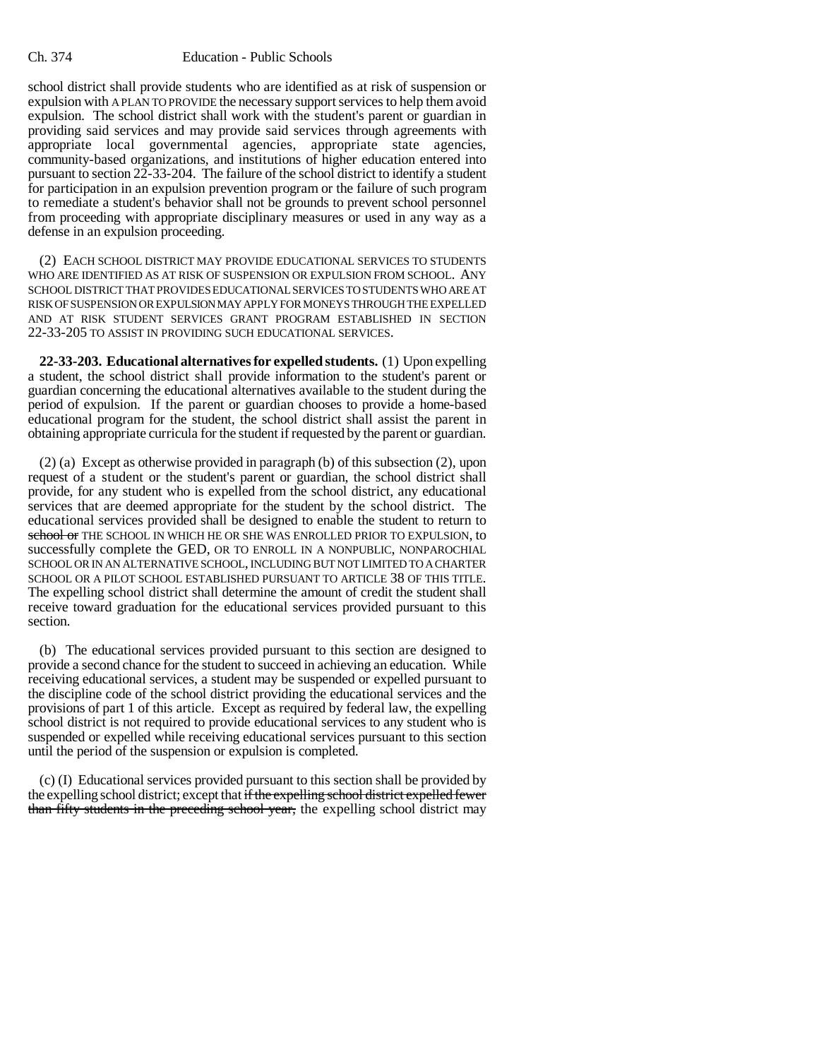school district shall provide students who are identified as at risk of suspension or expulsion with A PLAN TO PROVIDE the necessary support services to help them avoid expulsion. The school district shall work with the student's parent or guardian in providing said services and may provide said services through agreements with appropriate local governmental agencies, appropriate state agencies, community-based organizations, and institutions of higher education entered into pursuant to section 22-33-204. The failure of the school district to identify a student for participation in an expulsion prevention program or the failure of such program to remediate a student's behavior shall not be grounds to prevent school personnel from proceeding with appropriate disciplinary measures or used in any way as a defense in an expulsion proceeding.

(2) EACH SCHOOL DISTRICT MAY PROVIDE EDUCATIONAL SERVICES TO STUDENTS WHO ARE IDENTIFIED AS AT RISK OF SUSPENSION OR EXPULSION FROM SCHOOL. ANY SCHOOL DISTRICT THAT PROVIDES EDUCATIONAL SERVICES TO STUDENTS WHO ARE AT RISK OF SUSPENSION OR EXPULSION MAY APPLY FOR MONEYS THROUGH THE EXPELLED AND AT RISK STUDENT SERVICES GRANT PROGRAM ESTABLISHED IN SECTION 22-33-205 TO ASSIST IN PROVIDING SUCH EDUCATIONAL SERVICES.

**22-33-203. Educational alternatives for expelled students.** (1) Upon expelling a student, the school district shall provide information to the student's parent or guardian concerning the educational alternatives available to the student during the period of expulsion. If the parent or guardian chooses to provide a home-based educational program for the student, the school district shall assist the parent in obtaining appropriate curricula for the student if requested by the parent or guardian.

(2) (a) Except as otherwise provided in paragraph (b) of this subsection (2), upon request of a student or the student's parent or guardian, the school district shall provide, for any student who is expelled from the school district, any educational services that are deemed appropriate for the student by the school district. The educational services provided shall be designed to enable the student to return to school or THE SCHOOL IN WHICH HE OR SHE WAS ENROLLED PRIOR TO EXPULSION, to successfully complete the GED, OR TO ENROLL IN A NONPUBLIC, NONPAROCHIAL SCHOOL OR IN AN ALTERNATIVE SCHOOL, INCLUDING BUT NOT LIMITED TO A CHARTER SCHOOL OR A PILOT SCHOOL ESTABLISHED PURSUANT TO ARTICLE 38 OF THIS TITLE. The expelling school district shall determine the amount of credit the student shall receive toward graduation for the educational services provided pursuant to this section.

(b) The educational services provided pursuant to this section are designed to provide a second chance for the student to succeed in achieving an education. While receiving educational services, a student may be suspended or expelled pursuant to the discipline code of the school district providing the educational services and the provisions of part 1 of this article. Except as required by federal law, the expelling school district is not required to provide educational services to any student who is suspended or expelled while receiving educational services pursuant to this section until the period of the suspension or expulsion is completed.

(c) (I) Educational services provided pursuant to this section shall be provided by the expelling school district; except that if the expelling school district expelled fewer than fifty students in the preceding school year, the expelling school district may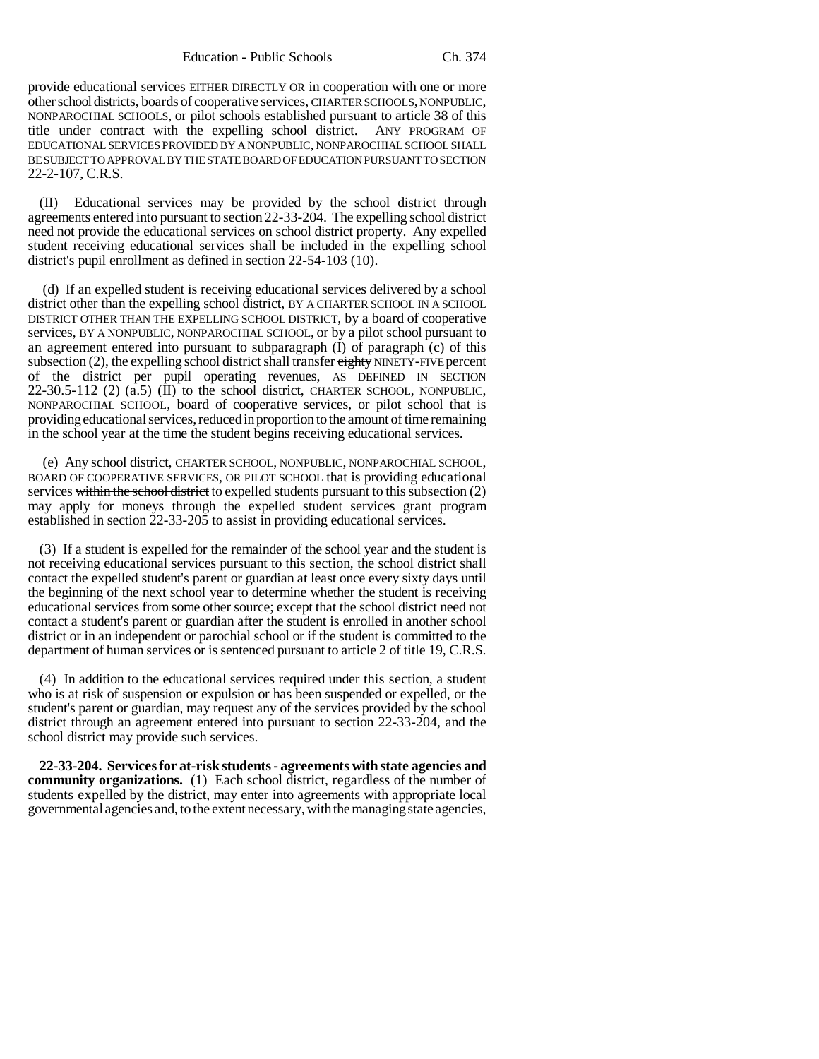provide educational services EITHER DIRECTLY OR in cooperation with one or more other school districts, boards of cooperative services, CHARTER SCHOOLS, NONPUBLIC, NONPAROCHIAL SCHOOLS, or pilot schools established pursuant to article 38 of this title under contract with the expelling school district. ANY PROGRAM OF EDUCATIONAL SERVICES PROVIDED BY A NONPUBLIC, NONPAROCHIAL SCHOOL SHALL BE SUBJECT TO APPROVAL BY THE STATE BOARD OF EDUCATION PURSUANT TO SECTION 22-2-107, C.R.S.

(II) Educational services may be provided by the school district through agreements entered into pursuant to section 22-33-204. The expelling school district need not provide the educational services on school district property. Any expelled student receiving educational services shall be included in the expelling school district's pupil enrollment as defined in section 22-54-103 (10).

 (d) If an expelled student is receiving educational services delivered by a school district other than the expelling school district, BY A CHARTER SCHOOL IN A SCHOOL DISTRICT OTHER THAN THE EXPELLING SCHOOL DISTRICT, by a board of cooperative services, BY A NONPUBLIC, NONPAROCHIAL SCHOOL, or by a pilot school pursuant to an agreement entered into pursuant to subparagraph  $(I)$  of paragraph  $(c)$  of this subsection (2), the expelling school district shall transfer eighty NINETY-FIVE percent of the district per pupil operating revenues, AS DEFINED IN SECTION 22-30.5-112 (2) (a.5) (II) to the school district, CHARTER SCHOOL, NONPUBLIC, NONPAROCHIAL SCHOOL, board of cooperative services, or pilot school that is providing educational services, reduced in proportion to the amount of time remaining in the school year at the time the student begins receiving educational services.

 (e) Any school district, CHARTER SCHOOL, NONPUBLIC, NONPAROCHIAL SCHOOL, BOARD OF COOPERATIVE SERVICES, OR PILOT SCHOOL that is providing educational services within the school district to expelled students pursuant to this subsection (2) may apply for moneys through the expelled student services grant program established in section 22-33-205 to assist in providing educational services.

(3) If a student is expelled for the remainder of the school year and the student is not receiving educational services pursuant to this section, the school district shall contact the expelled student's parent or guardian at least once every sixty days until the beginning of the next school year to determine whether the student is receiving educational services from some other source; except that the school district need not contact a student's parent or guardian after the student is enrolled in another school district or in an independent or parochial school or if the student is committed to the department of human services or is sentenced pursuant to article 2 of title 19, C.R.S.

(4) In addition to the educational services required under this section, a student who is at risk of suspension or expulsion or has been suspended or expelled, or the student's parent or guardian, may request any of the services provided by the school district through an agreement entered into pursuant to section 22-33-204, and the school district may provide such services.

**22-33-204. Services for at-risk students - agreements with state agencies and community organizations.** (1) Each school district, regardless of the number of students expelled by the district, may enter into agreements with appropriate local governmental agencies and, to the extent necessary, with the managing state agencies,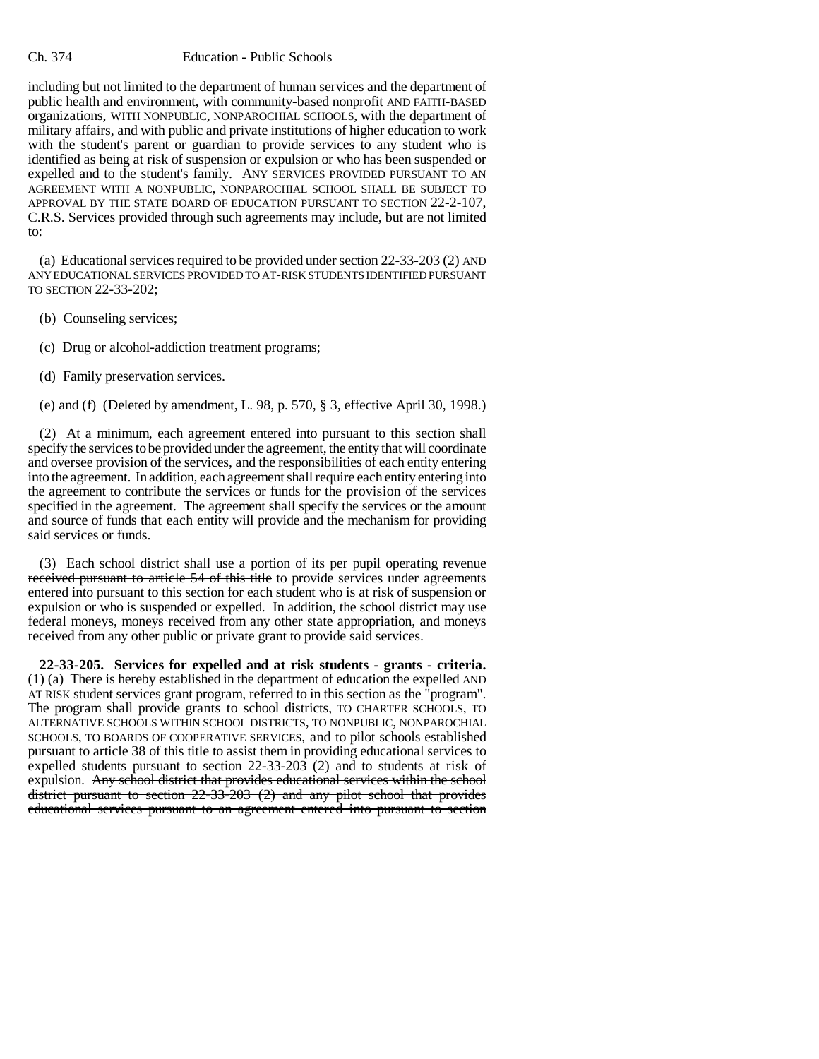#### Ch. 374 Education - Public Schools

including but not limited to the department of human services and the department of public health and environment, with community-based nonprofit AND FAITH-BASED organizations, WITH NONPUBLIC, NONPAROCHIAL SCHOOLS, with the department of military affairs, and with public and private institutions of higher education to work with the student's parent or guardian to provide services to any student who is identified as being at risk of suspension or expulsion or who has been suspended or expelled and to the student's family. ANY SERVICES PROVIDED PURSUANT TO AN AGREEMENT WITH A NONPUBLIC, NONPAROCHIAL SCHOOL SHALL BE SUBJECT TO APPROVAL BY THE STATE BOARD OF EDUCATION PURSUANT TO SECTION 22-2-107, C.R.S. Services provided through such agreements may include, but are not limited to:

(a) Educational services required to be provided under section 22-33-203 (2) AND ANY EDUCATIONAL SERVICES PROVIDED TO AT-RISK STUDENTS IDENTIFIED PURSUANT TO SECTION 22-33-202;

(b) Counseling services;

(c) Drug or alcohol-addiction treatment programs;

(d) Family preservation services.

(e) and (f) (Deleted by amendment, L. 98, p. 570, § 3, effective April 30, 1998.)

(2) At a minimum, each agreement entered into pursuant to this section shall specify the services to be provided under the agreement, the entity that will coordinate and oversee provision of the services, and the responsibilities of each entity entering into the agreement. In addition, each agreement shall require each entity entering into the agreement to contribute the services or funds for the provision of the services specified in the agreement. The agreement shall specify the services or the amount and source of funds that each entity will provide and the mechanism for providing said services or funds.

(3) Each school district shall use a portion of its per pupil operating revenue received pursuant to article 54 of this title to provide services under agreements entered into pursuant to this section for each student who is at risk of suspension or expulsion or who is suspended or expelled. In addition, the school district may use federal moneys, moneys received from any other state appropriation, and moneys received from any other public or private grant to provide said services.

**22-33-205. Services for expelled and at risk students - grants - criteria.** (1) (a) There is hereby established in the department of education the expelled AND AT RISK student services grant program, referred to in this section as the "program". The program shall provide grants to school districts, TO CHARTER SCHOOLS, TO ALTERNATIVE SCHOOLS WITHIN SCHOOL DISTRICTS, TO NONPUBLIC, NONPAROCHIAL SCHOOLS, TO BOARDS OF COOPERATIVE SERVICES, and to pilot schools established pursuant to article 38 of this title to assist them in providing educational services to expelled students pursuant to section 22-33-203 (2) and to students at risk of expulsion. Any school district that provides educational services within the school district pursuant to section 22-33-203 (2) and any pilot school that provides educational services pursuant to an agreement entered into pursuant to section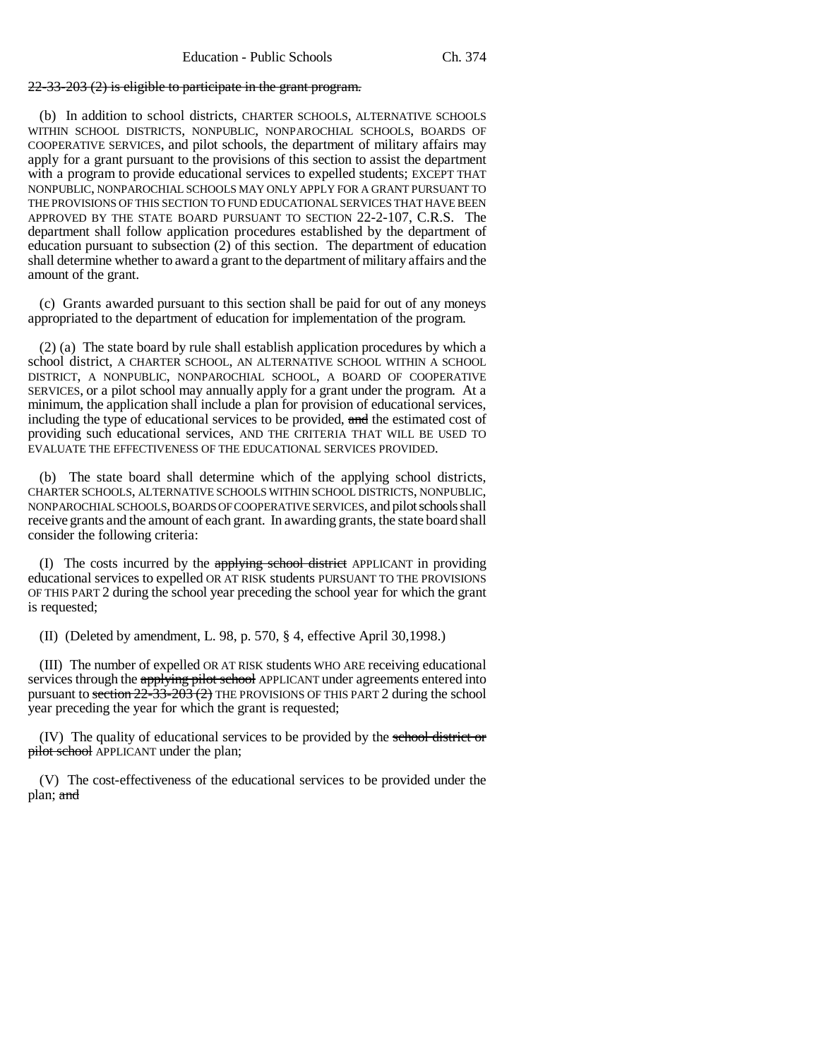## 22-33-203 (2) is eligible to participate in the grant program.

(b) In addition to school districts, CHARTER SCHOOLS, ALTERNATIVE SCHOOLS WITHIN SCHOOL DISTRICTS, NONPUBLIC, NONPAROCHIAL SCHOOLS, BOARDS OF COOPERATIVE SERVICES, and pilot schools, the department of military affairs may apply for a grant pursuant to the provisions of this section to assist the department with a program to provide educational services to expelled students; EXCEPT THAT NONPUBLIC, NONPAROCHIAL SCHOOLS MAY ONLY APPLY FOR A GRANT PURSUANT TO THE PROVISIONS OF THIS SECTION TO FUND EDUCATIONAL SERVICES THAT HAVE BEEN APPROVED BY THE STATE BOARD PURSUANT TO SECTION 22-2-107, C.R.S. The department shall follow application procedures established by the department of education pursuant to subsection (2) of this section. The department of education shall determine whether to award a grant to the department of military affairs and the amount of the grant.

(c) Grants awarded pursuant to this section shall be paid for out of any moneys appropriated to the department of education for implementation of the program.

(2) (a) The state board by rule shall establish application procedures by which a school district, A CHARTER SCHOOL, AN ALTERNATIVE SCHOOL WITHIN A SCHOOL DISTRICT, A NONPUBLIC, NONPAROCHIAL SCHOOL, A BOARD OF COOPERATIVE SERVICES, or a pilot school may annually apply for a grant under the program. At a minimum, the application shall include a plan for provision of educational services, including the type of educational services to be provided, and the estimated cost of providing such educational services, AND THE CRITERIA THAT WILL BE USED TO EVALUATE THE EFFECTIVENESS OF THE EDUCATIONAL SERVICES PROVIDED.

(b) The state board shall determine which of the applying school districts, CHARTER SCHOOLS, ALTERNATIVE SCHOOLS WITHIN SCHOOL DISTRICTS, NONPUBLIC, NONPAROCHIAL SCHOOLS, BOARDS OF COOPERATIVE SERVICES, and pilot schools shall receive grants and the amount of each grant. In awarding grants, the state board shall consider the following criteria:

(I) The costs incurred by the applying school district APPLICANT in providing educational services to expelled OR AT RISK students PURSUANT TO THE PROVISIONS OF THIS PART 2 during the school year preceding the school year for which the grant is requested;

(II) (Deleted by amendment, L. 98, p. 570, § 4, effective April 30,1998.)

(III) The number of expelled OR AT RISK students WHO ARE receiving educational services through the applying pilot school APPLICANT under agreements entered into pursuant to section  $22\overline{-33}$ - $203(2)$  THE PROVISIONS OF THIS PART 2 during the school year preceding the year for which the grant is requested;

(IV) The quality of educational services to be provided by the school district or pilot school APPLICANT under the plan;

(V) The cost-effectiveness of the educational services to be provided under the plan; and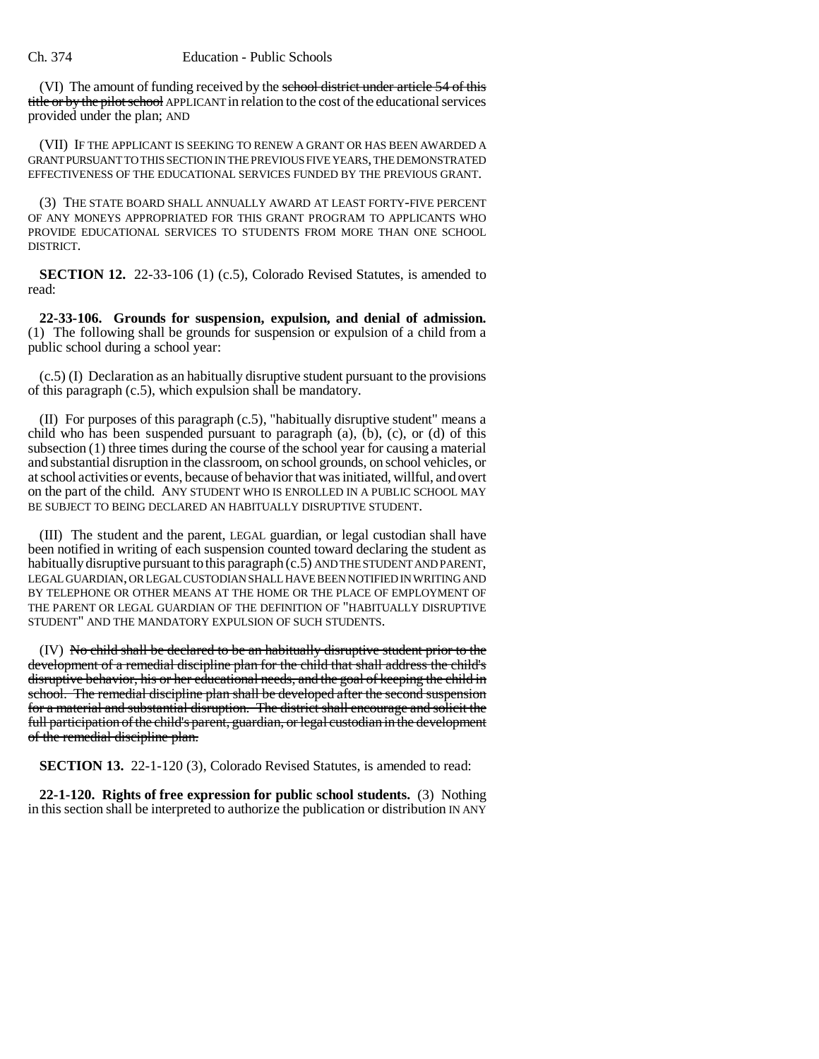(VI) The amount of funding received by the school district under article 54 of this title or by the pilot school APPLICANT in relation to the cost of the educational services provided under the plan; AND

(VII) IF THE APPLICANT IS SEEKING TO RENEW A GRANT OR HAS BEEN AWARDED A GRANT PURSUANT TO THIS SECTION IN THE PREVIOUS FIVE YEARS, THE DEMONSTRATED EFFECTIVENESS OF THE EDUCATIONAL SERVICES FUNDED BY THE PREVIOUS GRANT.

(3) THE STATE BOARD SHALL ANNUALLY AWARD AT LEAST FORTY-FIVE PERCENT OF ANY MONEYS APPROPRIATED FOR THIS GRANT PROGRAM TO APPLICANTS WHO PROVIDE EDUCATIONAL SERVICES TO STUDENTS FROM MORE THAN ONE SCHOOL DISTRICT.

**SECTION 12.** 22-33-106 (1) (c.5), Colorado Revised Statutes, is amended to read:

**22-33-106. Grounds for suspension, expulsion, and denial of admission.** (1) The following shall be grounds for suspension or expulsion of a child from a public school during a school year:

(c.5) (I) Declaration as an habitually disruptive student pursuant to the provisions of this paragraph (c.5), which expulsion shall be mandatory.

(II) For purposes of this paragraph (c.5), "habitually disruptive student" means a child who has been suspended pursuant to paragraph (a), (b), (c), or (d) of this subsection (1) three times during the course of the school year for causing a material and substantial disruption in the classroom, on school grounds, on school vehicles, or at school activities or events, because of behavior that was initiated, willful, and overt on the part of the child. ANY STUDENT WHO IS ENROLLED IN A PUBLIC SCHOOL MAY BE SUBJECT TO BEING DECLARED AN HABITUALLY DISRUPTIVE STUDENT.

(III) The student and the parent, LEGAL guardian, or legal custodian shall have been notified in writing of each suspension counted toward declaring the student as habitually disruptive pursuant to this paragraph (c.5) AND THE STUDENT AND PARENT, LEGAL GUARDIAN, OR LEGAL CUSTODIAN SHALL HAVE BEEN NOTIFIED IN WRITING AND BY TELEPHONE OR OTHER MEANS AT THE HOME OR THE PLACE OF EMPLOYMENT OF THE PARENT OR LEGAL GUARDIAN OF THE DEFINITION OF "HABITUALLY DISRUPTIVE STUDENT" AND THE MANDATORY EXPULSION OF SUCH STUDENTS.

(IV) No child shall be declared to be an habitually disruptive student prior to the development of a remedial discipline plan for the child that shall address the child's disruptive behavior, his or her educational needs, and the goal of keeping the child in school. The remedial discipline plan shall be developed after the second suspension for a material and substantial disruption. The district shall encourage and solicit the full participation of the child's parent, guardian, or legal custodian in the development of the remedial discipline plan.

**SECTION 13.** 22-1-120 (3), Colorado Revised Statutes, is amended to read:

**22-1-120. Rights of free expression for public school students.** (3) Nothing in this section shall be interpreted to authorize the publication or distribution IN ANY